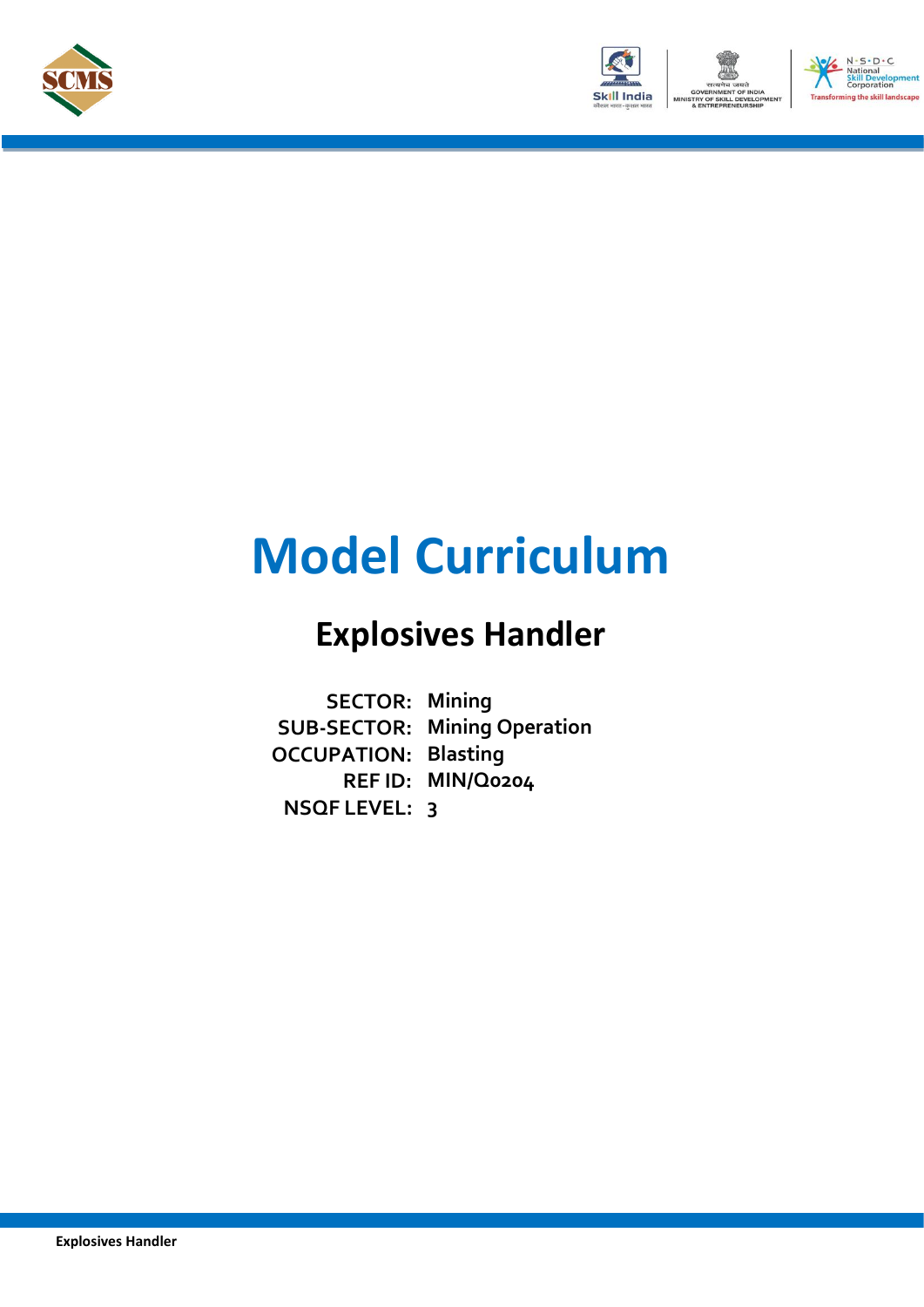



# **Model Curriculum**

## **Explosives Handler**

**SECTOR: Mining SUB-SECTOR: Mining Operation OCCUPATION: Blasting REF ID: MIN/Q0204 NSQF LEVEL: 3**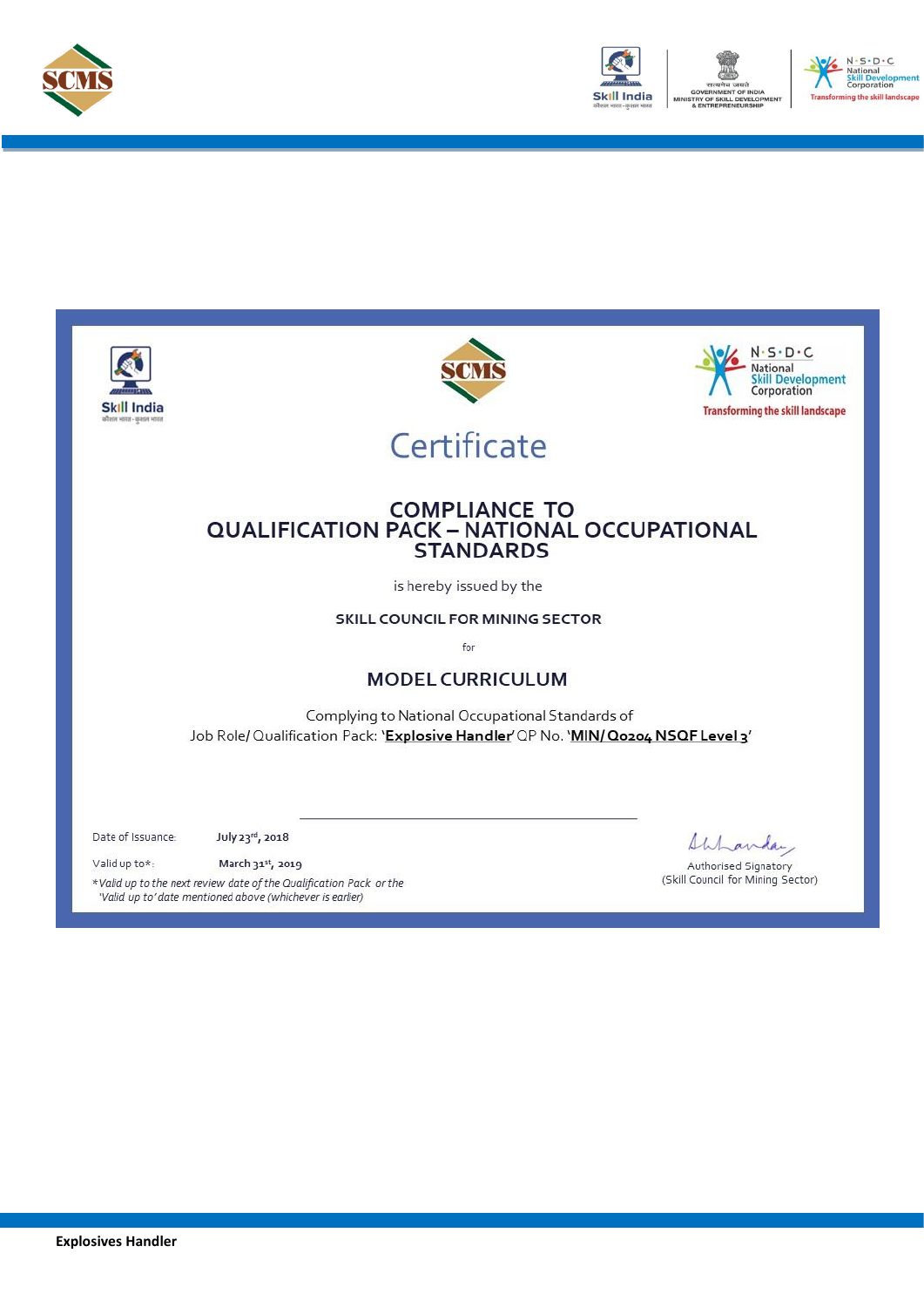



 $S \cdot D \cdot C$ 

he skill landscape

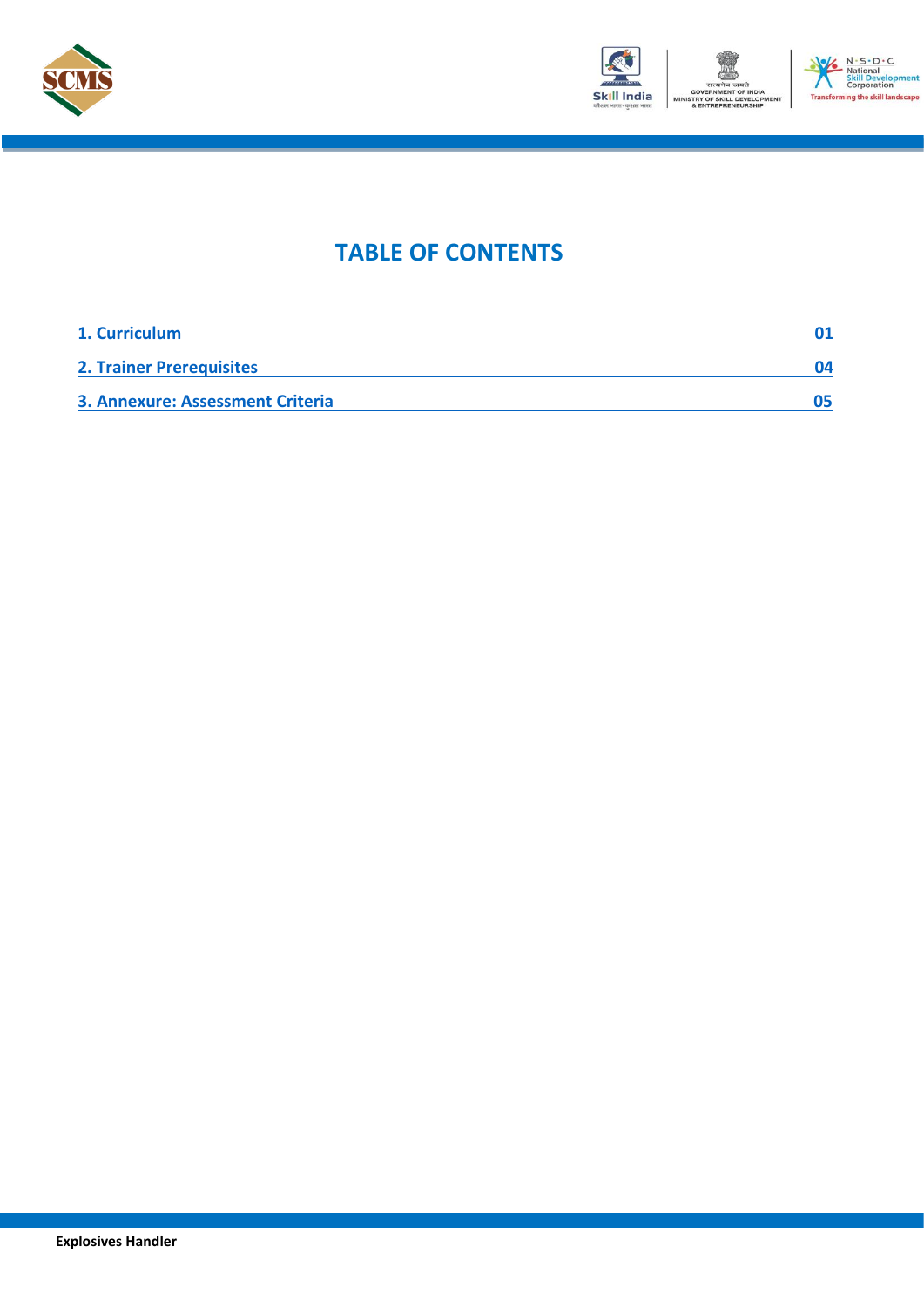



## **TABLE OF CONTENTS**

| 1. Curriculum                           |    |
|-----------------------------------------|----|
| <b>2. Trainer Prerequisites</b>         | በ4 |
| <b>3. Annexure: Assessment Criteria</b> |    |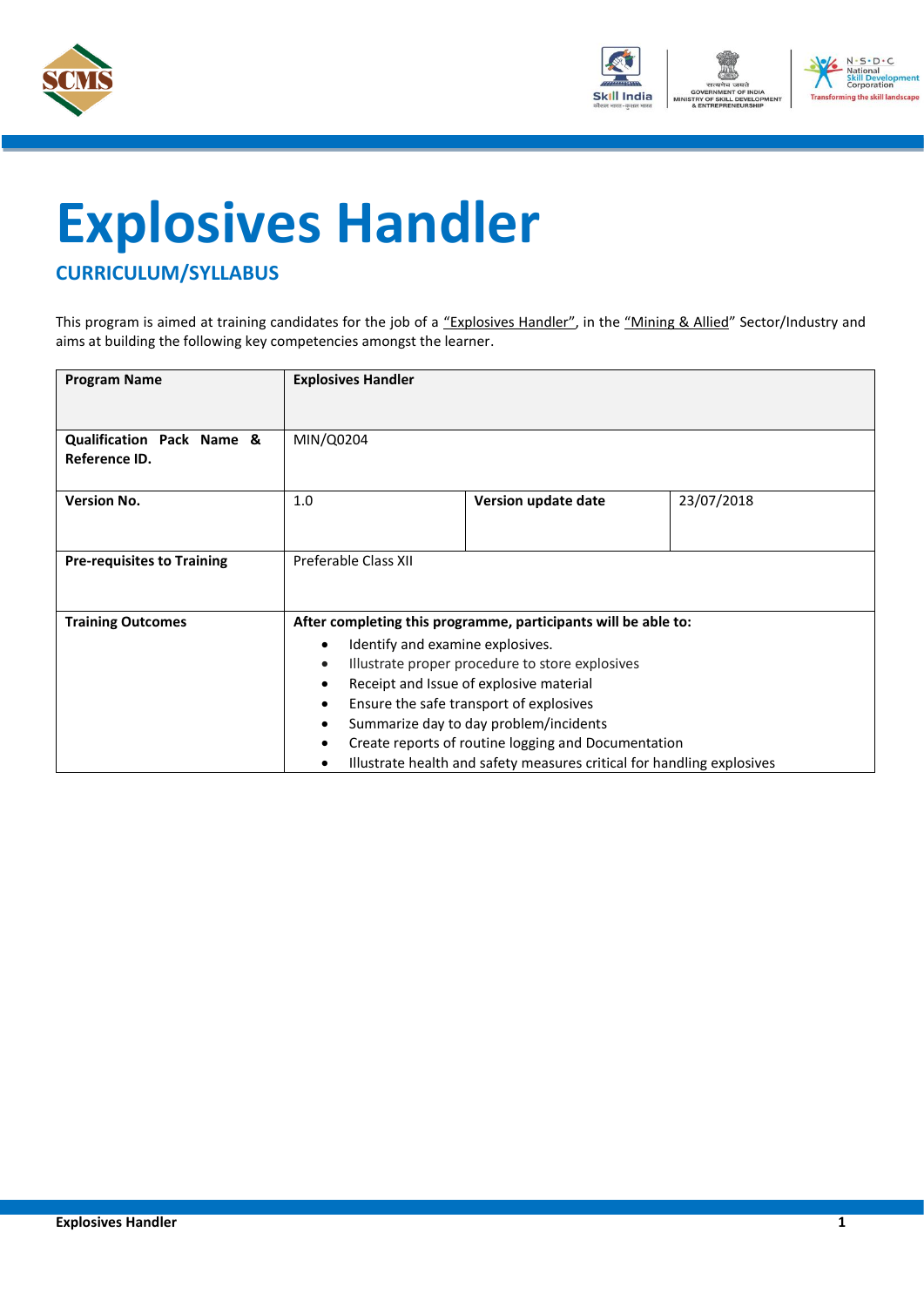



# <span id="page-3-0"></span>**Explosives Handler**

### **CURRICULUM/SYLLABUS**

This program is aimed at training candidates for the job of a "Explosives Handler", in the "Mining & Allied" Sector/Industry and aims at building the following key competencies amongst the learner.

| <b>Program Name</b>                        | <b>Explosives Handler</b>                                              |                     |            |
|--------------------------------------------|------------------------------------------------------------------------|---------------------|------------|
|                                            |                                                                        |                     |            |
| Qualification Pack Name &<br>Reference ID. | MIN/Q0204                                                              |                     |            |
| <b>Version No.</b>                         | 1.0                                                                    | Version update date | 23/07/2018 |
|                                            |                                                                        |                     |            |
| <b>Pre-requisites to Training</b>          | Preferable Class XII                                                   |                     |            |
|                                            |                                                                        |                     |            |
| <b>Training Outcomes</b>                   | After completing this programme, participants will be able to:         |                     |            |
|                                            | Identify and examine explosives.<br>$\bullet$                          |                     |            |
|                                            | Illustrate proper procedure to store explosives<br>$\bullet$           |                     |            |
|                                            | Receipt and Issue of explosive material<br>$\bullet$                   |                     |            |
|                                            | Ensure the safe transport of explosives                                |                     |            |
|                                            | Summarize day to day problem/incidents<br>$\bullet$                    |                     |            |
|                                            | Create reports of routine logging and Documentation                    |                     |            |
|                                            | Illustrate health and safety measures critical for handling explosives |                     |            |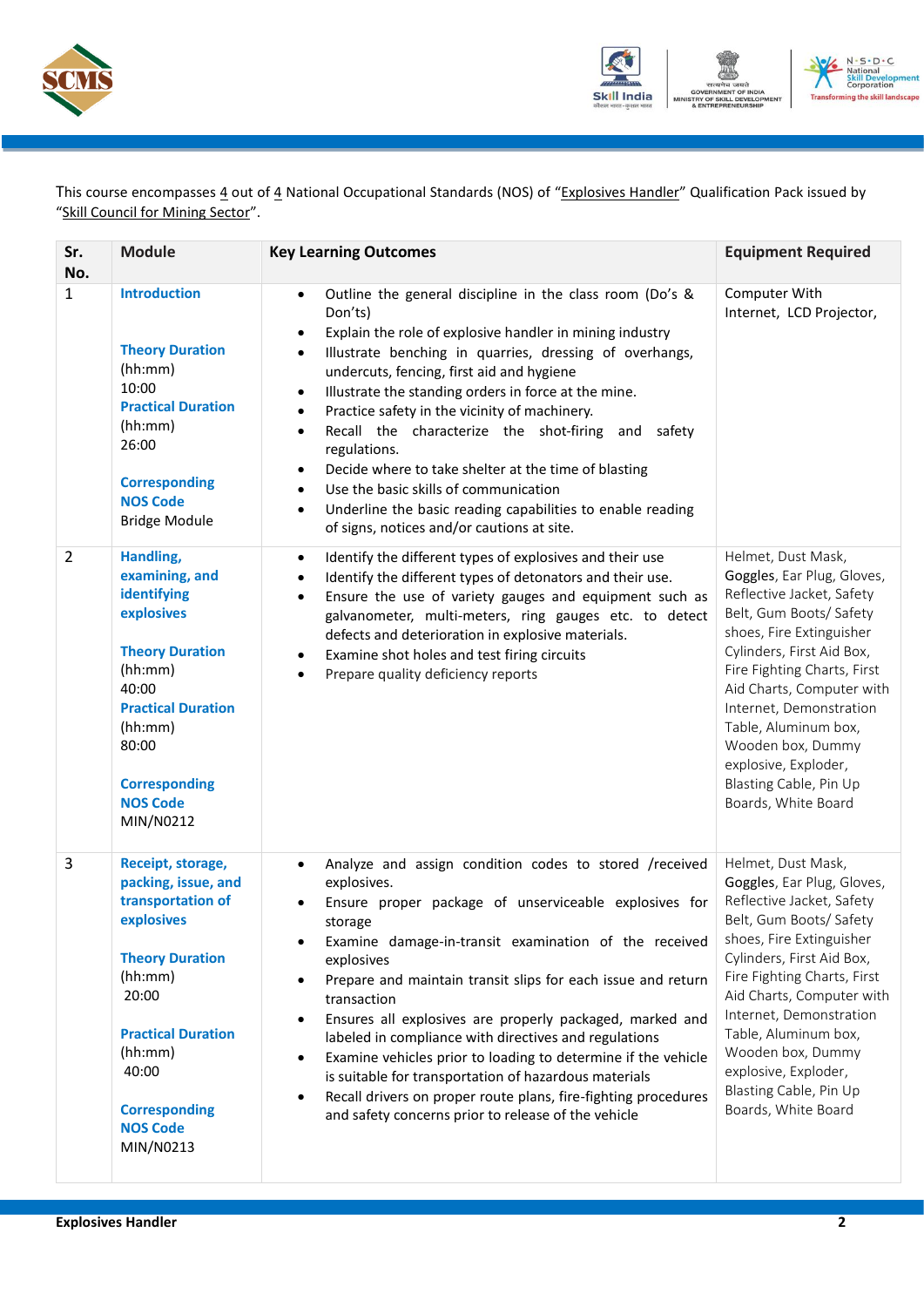



This course encompasses  $\frac{4}{5}$  out of  $\frac{4}{5}$  National Occupational Standards (NOS) of "Explosives Handler" Qualification Pack issued by "Skill Council for Mining Sector".

| Sr.<br>No.     | <b>Module</b>                                                                                                                                                                                                                      | <b>Key Learning Outcomes</b>                                                                                                                                                                                                                                                                                                                                                                                                                                                                                                                                                                                                                                                                                                                             | <b>Equipment Required</b>                                                                                                                                                                                                                                                                                                                                                      |
|----------------|------------------------------------------------------------------------------------------------------------------------------------------------------------------------------------------------------------------------------------|----------------------------------------------------------------------------------------------------------------------------------------------------------------------------------------------------------------------------------------------------------------------------------------------------------------------------------------------------------------------------------------------------------------------------------------------------------------------------------------------------------------------------------------------------------------------------------------------------------------------------------------------------------------------------------------------------------------------------------------------------------|--------------------------------------------------------------------------------------------------------------------------------------------------------------------------------------------------------------------------------------------------------------------------------------------------------------------------------------------------------------------------------|
| $\mathbf{1}$   | <b>Introduction</b><br><b>Theory Duration</b><br>(hh:mm)<br>10:00<br><b>Practical Duration</b><br>(hh:mm)<br>26:00<br><b>Corresponding</b><br><b>NOS Code</b><br><b>Bridge Module</b>                                              | Outline the general discipline in the class room (Do's &<br>$\bullet$<br>Don'ts)<br>Explain the role of explosive handler in mining industry<br>$\bullet$<br>Illustrate benching in quarries, dressing of overhangs,<br>$\bullet$<br>undercuts, fencing, first aid and hygiene<br>Illustrate the standing orders in force at the mine.<br>$\bullet$<br>Practice safety in the vicinity of machinery.<br>$\bullet$<br>Recall the characterize the shot-firing and safety<br>$\bullet$<br>regulations.<br>Decide where to take shelter at the time of blasting<br>$\bullet$<br>Use the basic skills of communication<br>$\bullet$<br>Underline the basic reading capabilities to enable reading<br>$\bullet$<br>of signs, notices and/or cautions at site. | Computer With<br>Internet, LCD Projector,                                                                                                                                                                                                                                                                                                                                      |
| $\overline{2}$ | Handling,<br>examining, and<br>identifying<br>explosives<br><b>Theory Duration</b><br>(hh:mm)<br>40:00<br><b>Practical Duration</b><br>(hh:mm)<br>80:00<br><b>Corresponding</b><br><b>NOS Code</b><br>MIN/N0212                    | Identify the different types of explosives and their use<br>$\bullet$<br>Identify the different types of detonators and their use.<br>$\bullet$<br>Ensure the use of variety gauges and equipment such as<br>$\bullet$<br>galvanometer, multi-meters, ring gauges etc. to detect<br>defects and deterioration in explosive materials.<br>Examine shot holes and test firing circuits<br>$\bullet$<br>Prepare quality deficiency reports<br>$\bullet$                                                                                                                                                                                                                                                                                                     | Helmet, Dust Mask,<br>Goggles, Ear Plug, Gloves,<br>Reflective Jacket, Safety<br>Belt, Gum Boots/ Safety<br>shoes, Fire Extinguisher<br>Cylinders, First Aid Box,<br>Fire Fighting Charts, First<br>Aid Charts, Computer with<br>Internet, Demonstration<br>Table, Aluminum box,<br>Wooden box, Dummy<br>explosive, Exploder,<br>Blasting Cable, Pin Up<br>Boards, White Board |
| 3              | Receipt, storage,<br>packing, issue, and<br>transportation of<br>explosives<br><b>Theory Duration</b><br>(hh:mm)<br>20:00<br><b>Practical Duration</b><br>(hh:mm)<br>40:00<br><b>Corresponding</b><br><b>NOS Code</b><br>MIN/N0213 | Analyze and assign condition codes to stored /received<br>$\bullet$<br>explosives.<br>Ensure proper package of unserviceable explosives for<br>storage<br>Examine damage-in-transit examination of the received<br>$\bullet$<br>explosives<br>Prepare and maintain transit slips for each issue and return<br>$\bullet$<br>transaction<br>Ensures all explosives are properly packaged, marked and<br>$\bullet$<br>labeled in compliance with directives and regulations<br>Examine vehicles prior to loading to determine if the vehicle<br>$\bullet$<br>is suitable for transportation of hazardous materials<br>Recall drivers on proper route plans, fire-fighting procedures<br>$\bullet$<br>and safety concerns prior to release of the vehicle    | Helmet, Dust Mask,<br>Goggles, Ear Plug, Gloves,<br>Reflective Jacket, Safety<br>Belt, Gum Boots/ Safety<br>shoes, Fire Extinguisher<br>Cylinders, First Aid Box,<br>Fire Fighting Charts, First<br>Aid Charts, Computer with<br>Internet, Demonstration<br>Table, Aluminum box,<br>Wooden box, Dummy<br>explosive, Exploder,<br>Blasting Cable, Pin Up<br>Boards, White Board |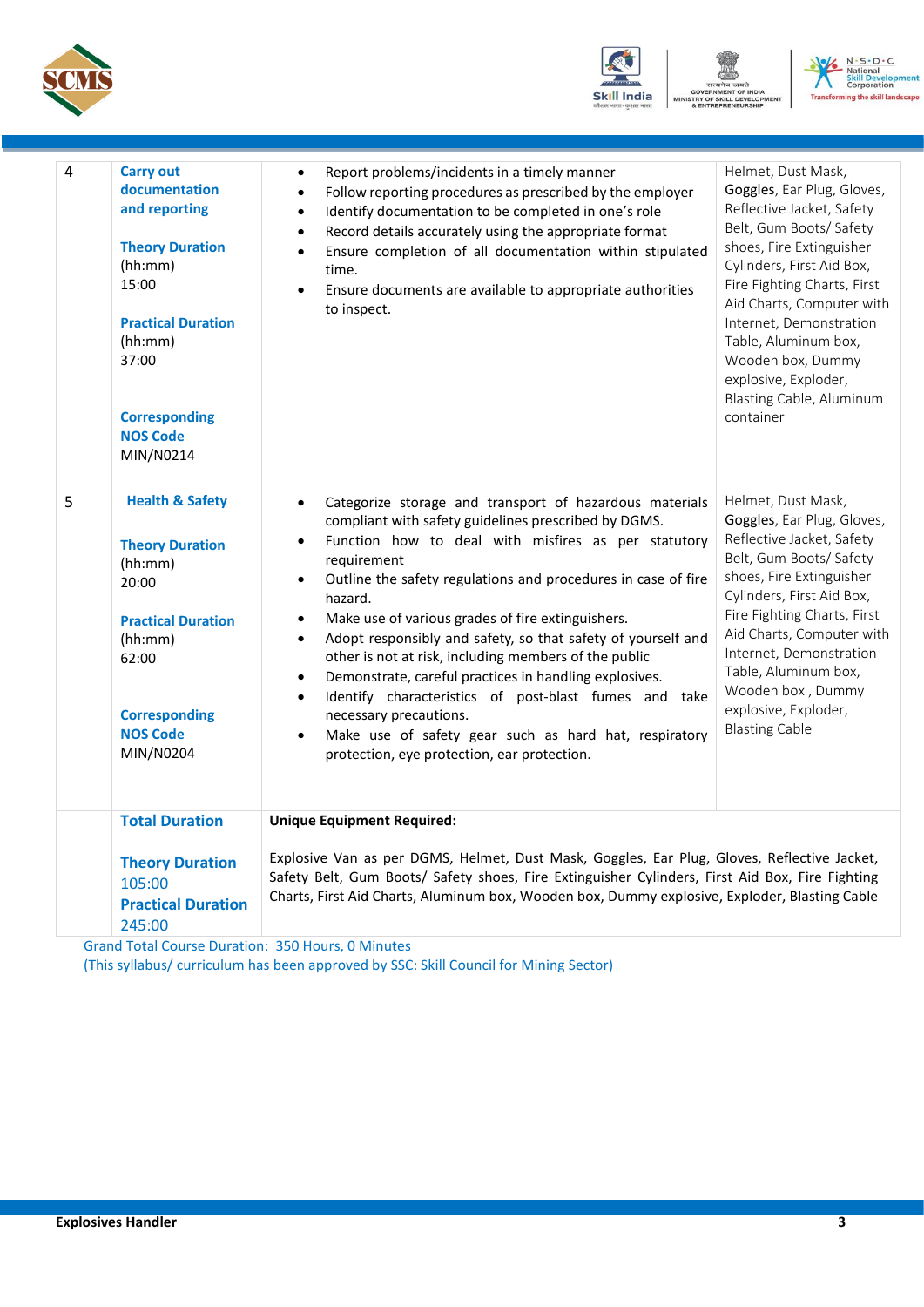





| 4 | <b>Carry out</b><br>documentation<br>and reporting<br><b>Theory Duration</b><br>(hh:mm)<br>15:00<br><b>Practical Duration</b><br>(hh:mm)<br>37:00<br><b>Corresponding</b><br><b>NOS Code</b><br>MIN/N0214 | Report problems/incidents in a timely manner<br>Follow reporting procedures as prescribed by the employer<br>$\bullet$<br>Identify documentation to be completed in one's role<br>$\bullet$<br>Record details accurately using the appropriate format<br>$\bullet$<br>Ensure completion of all documentation within stipulated<br>$\bullet$<br>time.<br>Ensure documents are available to appropriate authorities<br>$\bullet$<br>to inspect.                                                                                                                                                                                                                                                                                                                                                   | Helmet, Dust Mask,<br>Goggles, Ear Plug, Gloves,<br>Reflective Jacket, Safety<br>Belt, Gum Boots/ Safety<br>shoes, Fire Extinguisher<br>Cylinders, First Aid Box,<br>Fire Fighting Charts, First<br>Aid Charts, Computer with<br>Internet, Demonstration<br>Table, Aluminum box,<br>Wooden box, Dummy<br>explosive, Exploder,<br>Blasting Cable, Aluminum<br>container |
|---|-----------------------------------------------------------------------------------------------------------------------------------------------------------------------------------------------------------|-------------------------------------------------------------------------------------------------------------------------------------------------------------------------------------------------------------------------------------------------------------------------------------------------------------------------------------------------------------------------------------------------------------------------------------------------------------------------------------------------------------------------------------------------------------------------------------------------------------------------------------------------------------------------------------------------------------------------------------------------------------------------------------------------|------------------------------------------------------------------------------------------------------------------------------------------------------------------------------------------------------------------------------------------------------------------------------------------------------------------------------------------------------------------------|
| 5 | <b>Health &amp; Safety</b><br><b>Theory Duration</b><br>(hh:mm)<br>20:00<br><b>Practical Duration</b><br>(hh:mm)<br>62:00<br><b>Corresponding</b><br><b>NOS Code</b><br>MIN/N0204                         | Categorize storage and transport of hazardous materials<br>$\bullet$<br>compliant with safety guidelines prescribed by DGMS.<br>Function how to deal with misfires as per statutory<br>$\bullet$<br>requirement<br>Outline the safety regulations and procedures in case of fire<br>$\bullet$<br>hazard.<br>Make use of various grades of fire extinguishers.<br>$\bullet$<br>Adopt responsibly and safety, so that safety of yourself and<br>$\bullet$<br>other is not at risk, including members of the public<br>Demonstrate, careful practices in handling explosives.<br>$\bullet$<br>Identify characteristics of post-blast fumes and take<br>$\bullet$<br>necessary precautions.<br>Make use of safety gear such as hard hat, respiratory<br>protection, eye protection, ear protection. | Helmet, Dust Mask,<br>Goggles, Ear Plug, Gloves,<br>Reflective Jacket, Safety<br>Belt, Gum Boots/ Safety<br>shoes, Fire Extinguisher<br>Cylinders, First Aid Box,<br>Fire Fighting Charts, First<br>Aid Charts, Computer with<br>Internet, Demonstration<br>Table, Aluminum box,<br>Wooden box, Dummy<br>explosive, Exploder,<br><b>Blasting Cable</b>                 |
|   | <b>Total Duration</b><br><b>Theory Duration</b><br>105:00<br><b>Practical Duration</b><br>245:00                                                                                                          | <b>Unique Equipment Required:</b><br>Explosive Van as per DGMS, Helmet, Dust Mask, Goggles, Ear Plug, Gloves, Reflective Jacket,<br>Safety Belt, Gum Boots/ Safety shoes, Fire Extinguisher Cylinders, First Aid Box, Fire Fighting<br>Charts, First Aid Charts, Aluminum box, Wooden box, Dummy explosive, Exploder, Blasting Cable                                                                                                                                                                                                                                                                                                                                                                                                                                                            |                                                                                                                                                                                                                                                                                                                                                                        |

Grand Total Course Duration: 350 Hours, 0 Minutes (This syllabus/ curriculum has been approved by SSC: Skill Council for Mining Sector)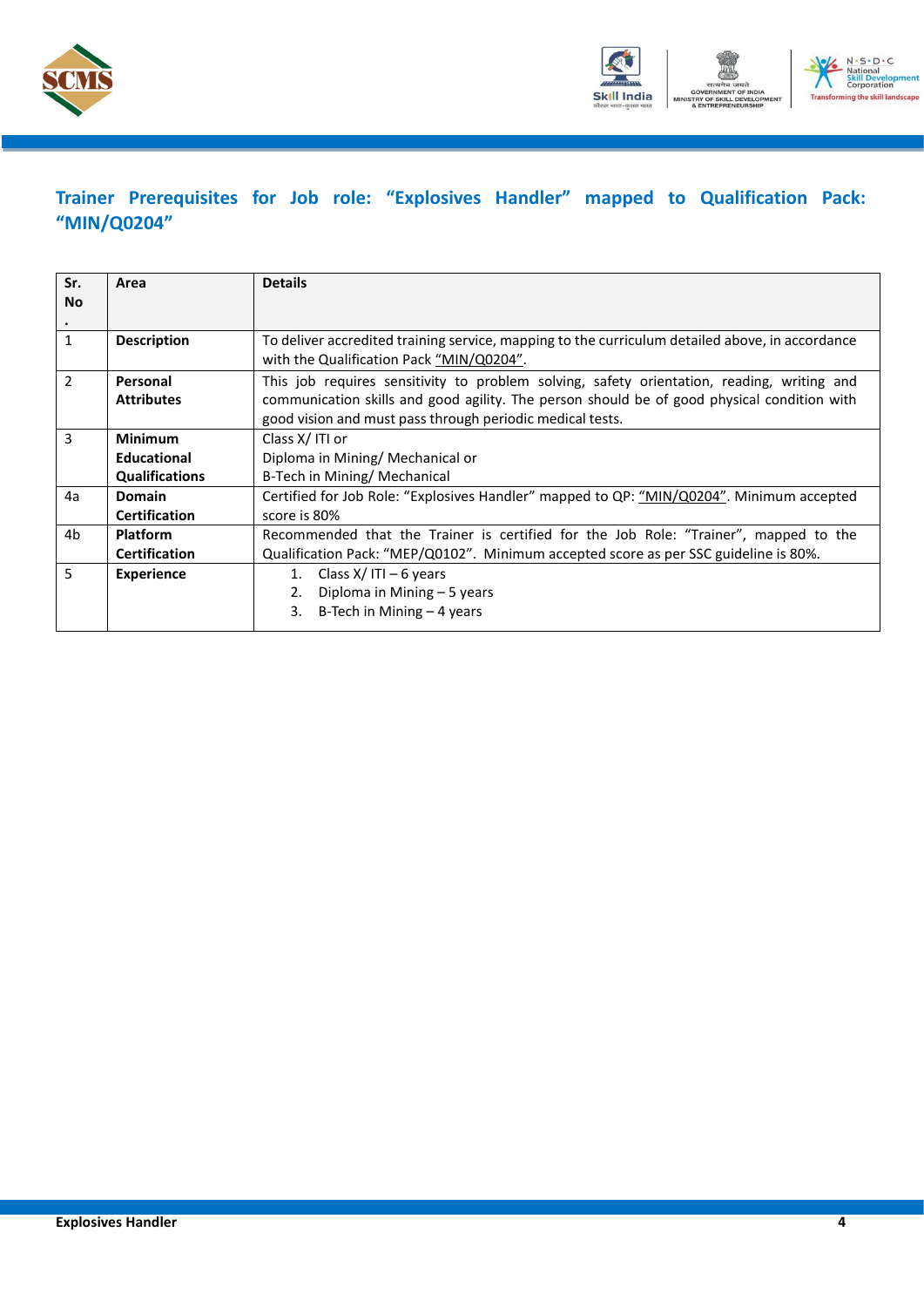



### <span id="page-6-0"></span>**Trainer Prerequisites for Job role: "Explosives Handler" mapped to Qualification Pack: "MIN/Q0204"**

| Sr.          | Area                  | <b>Details</b>                                                                                                                              |  |  |
|--------------|-----------------------|---------------------------------------------------------------------------------------------------------------------------------------------|--|--|
| <b>No</b>    |                       |                                                                                                                                             |  |  |
|              |                       |                                                                                                                                             |  |  |
| $\mathbf{1}$ | <b>Description</b>    | To deliver accredited training service, mapping to the curriculum detailed above, in accordance<br>with the Qualification Pack "MIN/Q0204". |  |  |
| 2            | Personal              | This job requires sensitivity to problem solving, safety orientation, reading, writing and                                                  |  |  |
|              | <b>Attributes</b>     | communication skills and good agility. The person should be of good physical condition with                                                 |  |  |
|              |                       | good vision and must pass through periodic medical tests.                                                                                   |  |  |
| 3            | <b>Minimum</b>        | Class X/ITI or                                                                                                                              |  |  |
|              | Educational           | Diploma in Mining/ Mechanical or                                                                                                            |  |  |
|              | <b>Qualifications</b> | B-Tech in Mining/ Mechanical                                                                                                                |  |  |
| 4a           | <b>Domain</b>         | Certified for Job Role: "Explosives Handler" mapped to QP: "MIN/Q0204". Minimum accepted                                                    |  |  |
|              | <b>Certification</b>  | score is 80%                                                                                                                                |  |  |
| 4b           | <b>Platform</b>       | Recommended that the Trainer is certified for the Job Role: "Trainer", mapped to the                                                        |  |  |
|              | <b>Certification</b>  | Qualification Pack: "MEP/Q0102". Minimum accepted score as per SSC guideline is 80%.                                                        |  |  |
| 5            | <b>Experience</b>     | Class $X/$ ITI – 6 years<br>1.                                                                                                              |  |  |
|              |                       | Diploma in Mining - 5 years<br>2.                                                                                                           |  |  |
|              |                       | B-Tech in Mining $-4$ years<br>3.                                                                                                           |  |  |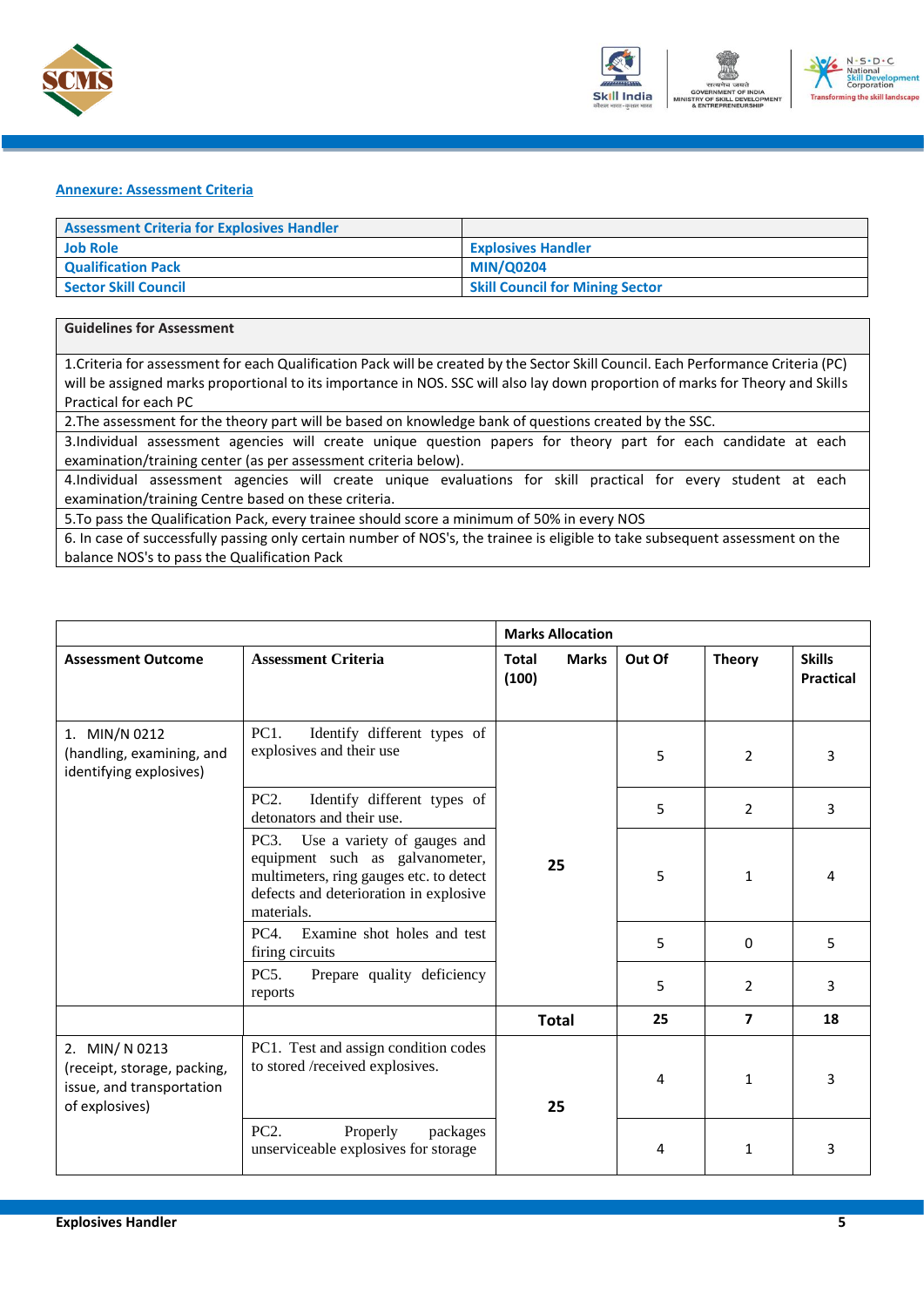



#### <span id="page-7-0"></span>**Annexure: Assessment Criteria**

| <b>Assessment Criteria for Explosives Handler</b> |                                        |
|---------------------------------------------------|----------------------------------------|
| <b>Job Role</b>                                   | <b>Explosives Handler</b>              |
| <b>Qualification Pack</b>                         | <b>MIN/Q0204</b>                       |
| Sector Skill Council                              | <b>Skill Council for Mining Sector</b> |

#### **Guidelines for Assessment**

1.Criteria for assessment for each Qualification Pack will be created by the Sector Skill Council. Each Performance Criteria (PC) will be assigned marks proportional to its importance in NOS. SSC will also lay down proportion of marks for Theory and Skills Practical for each PC

2.The assessment for the theory part will be based on knowledge bank of questions created by the SSC.

3.Individual assessment agencies will create unique question papers for theory part for each candidate at each examination/training center (as per assessment criteria below).

4.Individual assessment agencies will create unique evaluations for skill practical for every student at each examination/training Centre based on these criteria.

5.To pass the Qualification Pack, every trainee should score a minimum of 50% in every NOS

6. In case of successfully passing only certain number of NOS's, the trainee is eligible to take subsequent assessment on the balance NOS's to pass the Qualification Pack

|                                                                                             |                                                                                                                                                                           | <b>Marks Allocation</b>               |        |                |                                   |
|---------------------------------------------------------------------------------------------|---------------------------------------------------------------------------------------------------------------------------------------------------------------------------|---------------------------------------|--------|----------------|-----------------------------------|
| <b>Assessment Outcome</b>                                                                   | <b>Assessment Criteria</b>                                                                                                                                                | <b>Marks</b><br><b>Total</b><br>(100) | Out Of | <b>Theory</b>  | <b>Skills</b><br><b>Practical</b> |
| 1. MIN/N 0212<br>(handling, examining, and<br>identifying explosives)                       | PC <sub>1</sub> .<br>Identify different types of<br>explosives and their use                                                                                              | 25                                    | 5      | $\overline{2}$ | 3                                 |
|                                                                                             | PC <sub>2</sub> .<br>Identify different types of<br>detonators and their use.                                                                                             |                                       | 5      | $\overline{2}$ | 3                                 |
|                                                                                             | Use a variety of gauges and<br>PC3.<br>equipment such as galvanometer,<br>multimeters, ring gauges etc. to detect<br>defects and deterioration in explosive<br>materials. |                                       | 5      | $\mathbf{1}$   | 4                                 |
|                                                                                             | PC4<br>Examine shot holes and test<br>firing circuits                                                                                                                     |                                       | 5      | $\mathbf{0}$   | 5                                 |
|                                                                                             | PC5.<br>Prepare quality deficiency<br>reports                                                                                                                             |                                       | 5      | $\overline{2}$ | 3                                 |
|                                                                                             |                                                                                                                                                                           | <b>Total</b>                          | 25     | $\overline{ }$ | 18                                |
| 2. MIN/N 0213<br>(receipt, storage, packing,<br>issue, and transportation<br>of explosives) | PC1. Test and assign condition codes<br>to stored /received explosives.                                                                                                   | 25                                    | 4      | $\mathbf{1}$   | 3                                 |
|                                                                                             | PC <sub>2</sub> .<br>Properly<br>packages<br>unserviceable explosives for storage                                                                                         |                                       | 4      | 1              | 3                                 |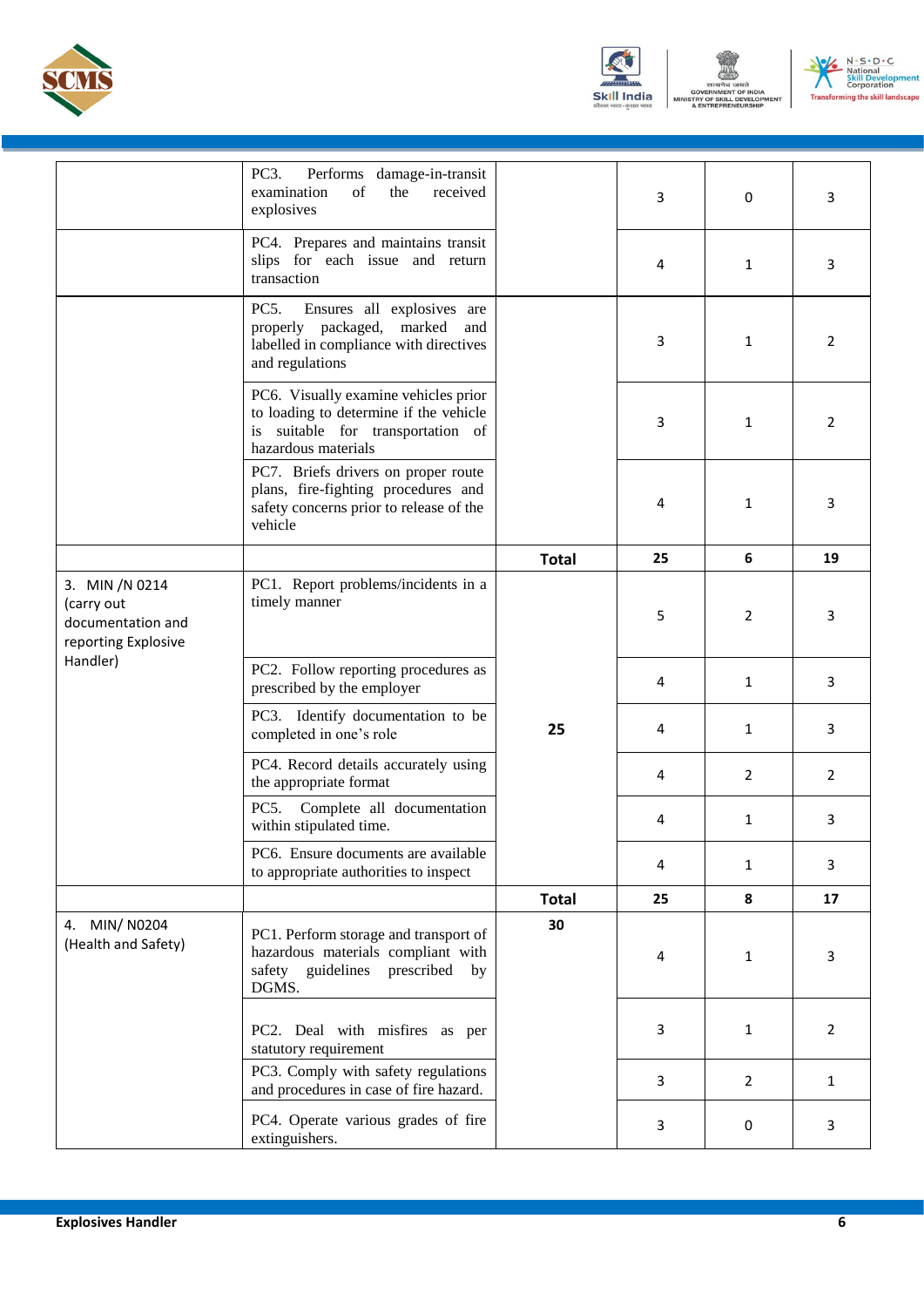





|                                                                                      | PC3.<br>Performs damage-in-transit<br>examination<br>$\sigma$ f<br>the<br>received<br>explosives                                           |              | 3  | 0              | 3              |
|--------------------------------------------------------------------------------------|--------------------------------------------------------------------------------------------------------------------------------------------|--------------|----|----------------|----------------|
|                                                                                      | PC4. Prepares and maintains transit<br>slips for each issue and return<br>transaction                                                      |              | 4  | 1              | 3              |
|                                                                                      | PC5.<br>Ensures all explosives are<br>properly packaged, marked and<br>labelled in compliance with directives<br>and regulations           |              | 3  | 1              | $\overline{2}$ |
|                                                                                      | PC6. Visually examine vehicles prior<br>to loading to determine if the vehicle<br>is suitable for transportation of<br>hazardous materials |              | 3  | 1              | $\overline{2}$ |
|                                                                                      | PC7. Briefs drivers on proper route<br>plans, fire-fighting procedures and<br>safety concerns prior to release of the<br>vehicle           |              | 4  | 1              | 3              |
|                                                                                      |                                                                                                                                            | <b>Total</b> | 25 | 6              | 19             |
| 3. MIN /N 0214<br>(carry out<br>documentation and<br>reporting Explosive<br>Handler) | PC1. Report problems/incidents in a<br>timely manner                                                                                       | 25           | 5  | 2              | 3              |
|                                                                                      | PC2. Follow reporting procedures as<br>prescribed by the employer                                                                          |              | 4  | $\mathbf{1}$   | 3              |
|                                                                                      | PC3. Identify documentation to be<br>completed in one's role                                                                               |              | 4  | 1              | 3              |
|                                                                                      | PC4. Record details accurately using<br>the appropriate format                                                                             |              | 4  | $\overline{2}$ | $\overline{2}$ |
|                                                                                      | PC5.<br>Complete all documentation<br>within stipulated time.                                                                              |              | 4  | 1              | 3              |
|                                                                                      | PC6. Ensure documents are available<br>to appropriate authorities to inspect                                                               |              | 4  | 1              | 3              |
|                                                                                      |                                                                                                                                            | <b>Total</b> | 25 | 8              | 17             |
| 4. MIN/N0204<br>(Health and Safety)                                                  | PC1. Perform storage and transport of<br>hazardous materials compliant with<br>safety guidelines prescribed by<br>DGMS.                    | 30           | 4  | 1              | 3              |
|                                                                                      | PC2. Deal with misfires as per<br>statutory requirement                                                                                    |              | 3  | $\mathbf{1}$   | $\overline{2}$ |
|                                                                                      | PC3. Comply with safety regulations<br>and procedures in case of fire hazard.                                                              |              | 3  | $\overline{2}$ | $\mathbf{1}$   |
|                                                                                      | PC4. Operate various grades of fire<br>extinguishers.                                                                                      |              | 3  | 0              | 3              |